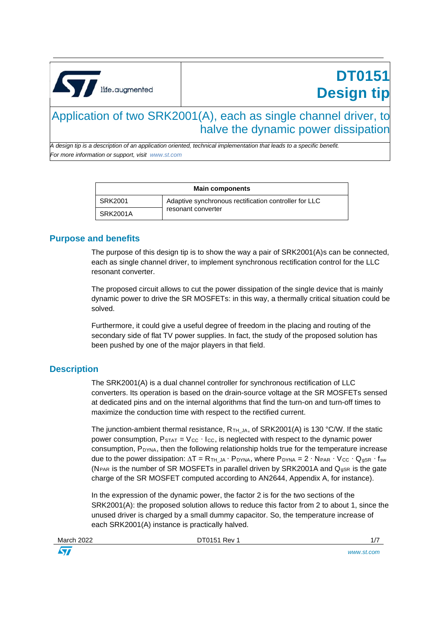<span id="page-0-0"></span>

# **DT0151 Design tip**

### Application of two SRK2001(A), each as single channel driver, to halve the dynamic power dissipation

*A design tip is a description of an application oriented, technical implementation that leads to a specific benefit. For more information or support, visit www.st.com*

| <b>Main components</b> |                                                       |  |
|------------------------|-------------------------------------------------------|--|
| SRK2001                | Adaptive synchronous rectification controller for LLC |  |
| <b>SRK2001A</b>        | resonant converter                                    |  |

#### **Purpose and benefits**

The purpose of this design tip is to show the way a pair of SRK2001(A)s can be connected, each as single channel driver, to implement synchronous rectification control for the LLC resonant converter.

The proposed circuit allows to cut the power dissipation of the single device that is mainly dynamic power to drive the SR MOSFETs: in this way, a thermally critical situation could be solved.

Furthermore, it could give a useful degree of freedom in the placing and routing of the secondary side of flat TV power supplies. In fact, the study of the proposed solution has been pushed by one of the major players in that field.

### **Description**

The SRK2001(A) is a dual channel controller for synchronous rectification of LLC converters. Its operation is based on the drain-source voltage at the SR MOSFETs sensed at dedicated pins and on the internal algorithms that find the turn-on and turn-off times to maximize the conduction time with respect to the rectified current.

The junction-ambient thermal resistance,  $R_{TH_1}$ <sub>A</sub>, of SRK2001(A) is 130 °C/W. If the static power consumption,  $P_{STAT} = V_{CC} \cdot I_{CC}$ , is neglected with respect to the dynamic power consumption, P<sub>DYNA</sub>, then the following relationship holds true for the temperature increase due to the power dissipation:  $\Delta T = R_{TH\_JA} \cdot P_{DYNA}$ , where  $P_{DYNA} = 2 \cdot N_{PAR} \cdot V_{CC} \cdot Q_{gSR} \cdot f_{sw}$ (N<sub>PAR</sub> is the number of SR MOSFETs in parallel driven by SRK2001A and  $Q<sub>qSR</sub>$  is the gate charge of the SR MOSFET computed according to AN2644, Appendix A, for instance).

In the expression of the dynamic power, the factor 2 is for the two sections of the SRK2001(A): the proposed solution allows to reduce this factor from 2 to about 1, since the unused driver is charged by a small dummy capacitor. So, the temperature increase of each SRK2001(A) instance is practically halved.

| March 2022 |  |
|------------|--|
|            |  |

 $\sqrt{2}$ 

[DT0151](#page-0-0) Rev 1 1/7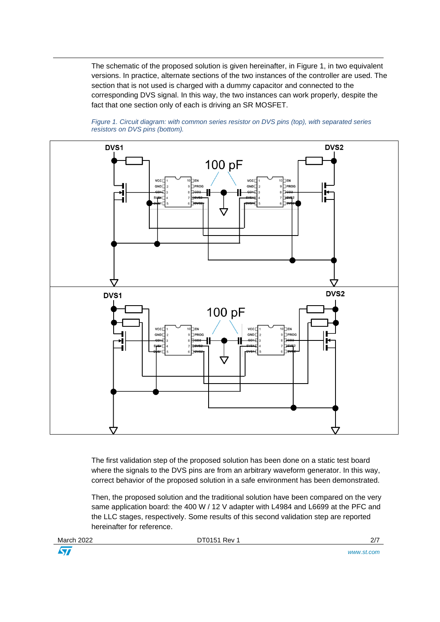The schematic of the proposed solution is given hereinafter, in Figure 1, in two equivalent versions. In practice, alternate sections of the two instances of the controller are used. The section that is not used is charged with a dummy capacitor and connected to the corresponding DVS signal. In this way, the two instances can work properly, despite the fact that one section only of each is driving an SR MOSFET.



*Figure 1. Circuit diagram: with common series resistor on DVS pins (top), with separated series resistors on DVS pins (bottom).*

The first validation step of the proposed solution has been done on a static test board where the signals to the DVS pins are from an arbitrary waveform generator. In this way, correct behavior of the proposed solution in a safe environment has been demonstrated.

Then, the proposed solution and the traditional solution have been compared on the very same application board: the 400 W / 12 V adapter with L4984 and L6699 at the PFC and the LLC stages, respectively. Some results of this second validation step are reported hereinafter for reference.

March 2022 **[DT0151](#page-0-0) Rev 1** 2/7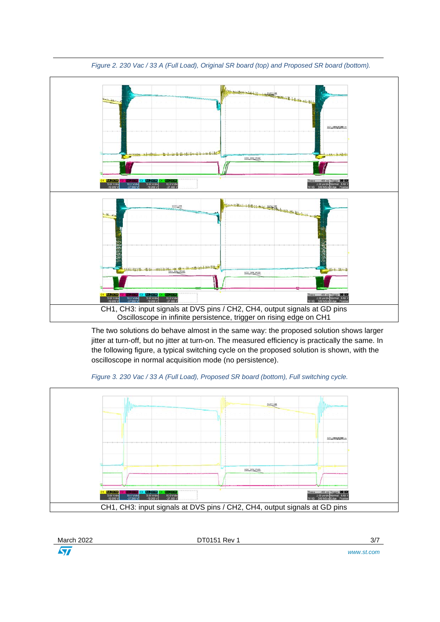

*Figure 2. 230 Vac / 33 A (Full Load), Original SR board (top) and Proposed SR board (bottom).*

The two solutions do behave almost in the same way: the proposed solution shows larger jitter at turn-off, but no jitter at turn-on. The measured efficiency is practically the same. In the following figure, a typical switching cycle on the proposed solution is shown, with the oscilloscope in normal acquisition mode (no persistence).

*Figure 3. 230 Vac / 33 A (Full Load), Proposed SR board (bottom), Full switching cycle.*



| March 2022 | . T0151 Rev | ו וכ |
|------------|-------------|------|
| <b>AVA</b> |             |      |

*www.st.com*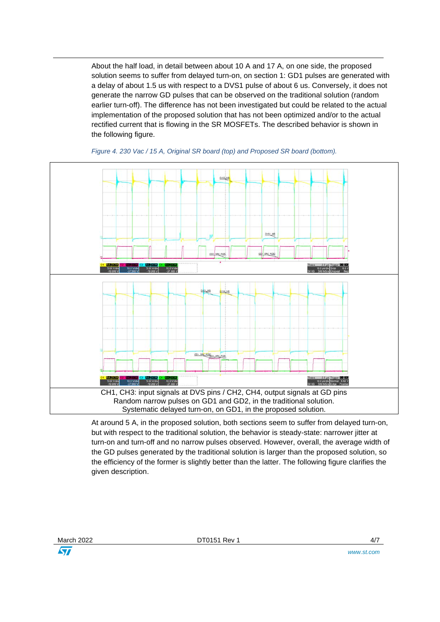About the half load, in detail between about 10 A and 17 A, on one side, the proposed solution seems to suffer from delayed turn-on, on section 1: GD1 pulses are generated with a delay of about 1.5 us with respect to a DVS1 pulse of about 6 us. Conversely, it does not generate the narrow GD pulses that can be observed on the traditional solution (random earlier turn-off). The difference has not been investigated but could be related to the actual implementation of the proposed solution that has not been optimized and/or to the actual rectified current that is flowing in the SR MOSFETs. The described behavior is shown in the following figure.



*Figure 4. 230 Vac / 15 A, Original SR board (top) and Proposed SR board (bottom).*

At around 5 A, in the proposed solution, both sections seem to suffer from delayed turn-on, but with respect to the traditional solution, the behavior is steady-state: narrower jitter at turn-on and turn-off and no narrow pulses observed. However, overall, the average width of the GD pulses generated by the traditional solution is larger than the proposed solution, so the efficiency of the former is slightly better than the latter. The following figure clarifies the given description.

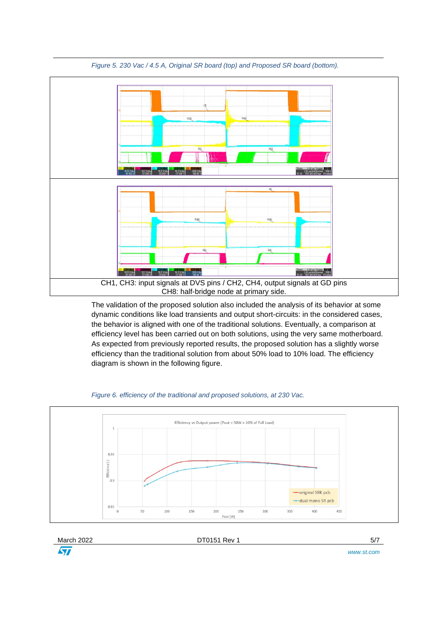

*Figure 5. 230 Vac / 4.5 A, Original SR board (top) and Proposed SR board (bottom).*

The validation of the proposed solution also included the analysis of its behavior at some dynamic conditions like load transients and output short-circuits: in the considered cases, the behavior is aligned with one of the traditional solutions. Eventually, a comparison at efficiency level has been carried out on both solutions, using the very same motherboard. As expected from previously reported results, the proposed solution has a slightly worse efficiency than the traditional solution from about 50% load to 10% load. The efficiency diagram is shown in the following figure.





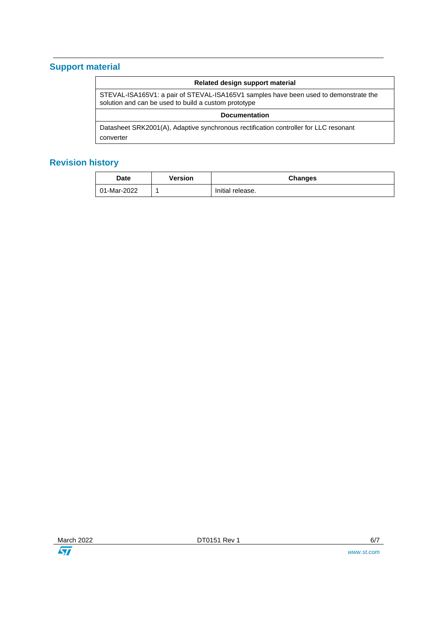## **Support material**

| Related design support material                                                                                                              |  |  |  |
|----------------------------------------------------------------------------------------------------------------------------------------------|--|--|--|
| STEVAL-ISA165V1: a pair of STEVAL-ISA165V1 samples have been used to demonstrate the<br>solution and can be used to build a custom prototype |  |  |  |
| <b>Documentation</b>                                                                                                                         |  |  |  |
| Datasheet SRK2001(A), Adaptive synchronous rectification controller for LLC resonant                                                         |  |  |  |
| converter                                                                                                                                    |  |  |  |
|                                                                                                                                              |  |  |  |

# **Revision history**

| <b>Date</b> | Version | <b>Changes</b>   |
|-------------|---------|------------------|
| 01-Mar-2022 |         | Initial release. |

March 2022 **[DT0151](#page-0-0) Rev 1 DT0151 Rev 1 6/7**